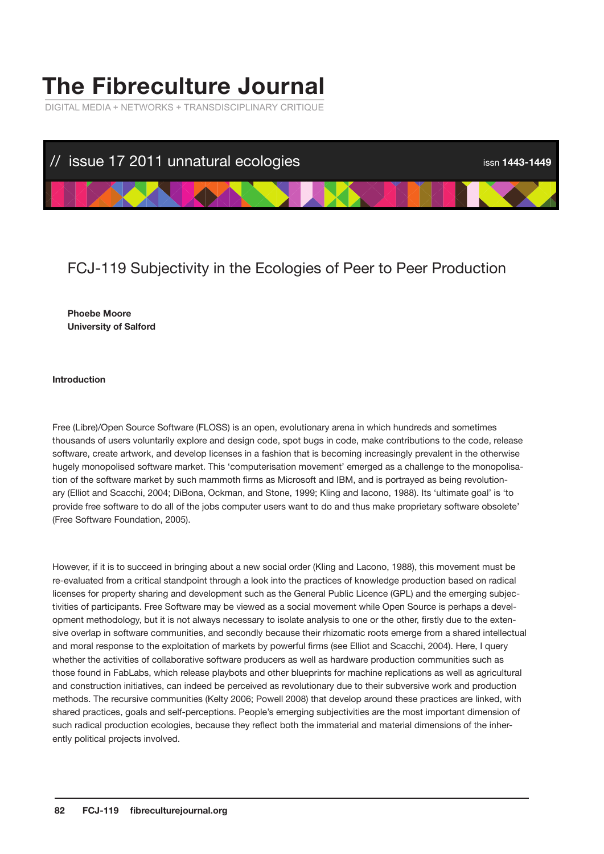# **The Fibreculture Journal**

DIGITAL MEDIA + NETWORKS + TRANSDISCIPLINARY CRITIQUE



# FCJ-119 Subjectivity in the Ecologies of Peer to Peer Production

## **Phoebe Moore University of Salford**

#### **Introduction**

Free (Libre)/Open Source Software (FLOSS) is an open, evolutionary arena in which hundreds and sometimes thousands of users voluntarily explore and design code, spot bugs in code, make contributions to the code, release software, create artwork, and develop licenses in a fashion that is becoming increasingly prevalent in the otherwise hugely monopolised software market. This 'computerisation movement' emerged as a challenge to the monopolisation of the software market by such mammoth firms as Microsoft and IBM, and is portrayed as being revolutionary (Elliot and Scacchi, 2004; DiBona, Ockman, and Stone, 1999; Kling and Iacono, 1988). Its 'ultimate goal' is 'to provide free software to do all of the jobs computer users want to do and thus make proprietary software obsolete' (Free Software Foundation, 2005).

However, if it is to succeed in bringing about a new social order (Kling and Lacono, 1988), this movement must be re-evaluated from a critical standpoint through a look into the practices of knowledge production based on radical licenses for property sharing and development such as the General Public Licence (GPL) and the emerging subjectivities of participants. Free Software may be viewed as a social movement while Open Source is perhaps a development methodology, but it is not always necessary to isolate analysis to one or the other, firstly due to the extensive overlap in software communities, and secondly because their rhizomatic roots emerge from a shared intellectual and moral response to the exploitation of markets by powerful firms (see Elliot and Scacchi, 2004). Here, I query whether the activities of collaborative software producers as well as hardware production communities such as those found in FabLabs, which release playbots and other blueprints for machine replications as well as agricultural and construction initiatives, can indeed be perceived as revolutionary due to their subversive work and production methods. The recursive communities (Kelty 2006; Powell 2008) that develop around these practices are linked, with shared practices, goals and self-perceptions. People's emerging subjectivities are the most important dimension of such radical production ecologies, because they reflect both the immaterial and material dimensions of the inherently political projects involved.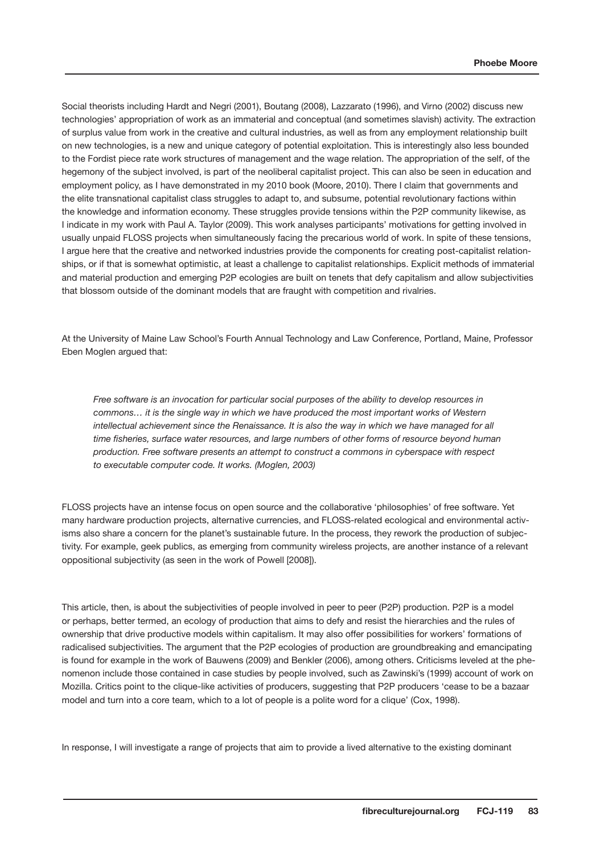Social theorists including Hardt and Negri (2001), Boutang (2008), Lazzarato (1996), and Virno (2002) discuss new technologies' appropriation of work as an immaterial and conceptual (and sometimes slavish) activity. The extraction of surplus value from work in the creative and cultural industries, as well as from any employment relationship built on new technologies, is a new and unique category of potential exploitation. This is interestingly also less bounded to the Fordist piece rate work structures of management and the wage relation. The appropriation of the self, of the hegemony of the subject involved, is part of the neoliberal capitalist project. This can also be seen in education and employment policy, as I have demonstrated in my 2010 book (Moore, 2010). There I claim that governments and the elite transnational capitalist class struggles to adapt to, and subsume, potential revolutionary factions within the knowledge and information economy. These struggles provide tensions within the P2P community likewise, as I indicate in my work with Paul A. Taylor (2009). This work analyses participants' motivations for getting involved in usually unpaid FLOSS projects when simultaneously facing the precarious world of work. In spite of these tensions, I argue here that the creative and networked industries provide the components for creating post-capitalist relationships, or if that is somewhat optimistic, at least a challenge to capitalist relationships. Explicit methods of immaterial and material production and emerging P2P ecologies are built on tenets that defy capitalism and allow subjectivities that blossom outside of the dominant models that are fraught with competition and rivalries.

At the University of Maine Law School's Fourth Annual Technology and Law Conference, Portland, Maine, Professor Eben Moglen argued that:

*Free software is an invocation for particular social purposes of the ability to develop resources in commons… it is the single way in which we have produced the most important works of Western*  intellectual achievement since the Renaissance. It is also the way in which we have managed for all *time fisheries, surface water resources, and large numbers of other forms of resource beyond human production. Free software presents an attempt to construct a commons in cyberspace with respect to executable computer code. It works. (Moglen, 2003)* 

FLOSS projects have an intense focus on open source and the collaborative 'philosophies' of free software. Yet many hardware production projects, alternative currencies, and FLOSS-related ecological and environmental activisms also share a concern for the planet's sustainable future. In the process, they rework the production of subjectivity. For example, geek publics, as emerging from community wireless projects, are another instance of a relevant oppositional subjectivity (as seen in the work of Powell [2008]).

This article, then, is about the subjectivities of people involved in peer to peer (P2P) production. P2P is a model or perhaps, better termed, an ecology of production that aims to defy and resist the hierarchies and the rules of ownership that drive productive models within capitalism. It may also offer possibilities for workers' formations of radicalised subjectivities. The argument that the P2P ecologies of production are groundbreaking and emancipating is found for example in the work of Bauwens (2009) and Benkler (2006), among others. Criticisms leveled at the phenomenon include those contained in case studies by people involved, such as Zawinski's (1999) account of work on Mozilla. Critics point to the clique-like activities of producers, suggesting that P2P producers 'cease to be a bazaar model and turn into a core team, which to a lot of people is a polite word for a clique' (Cox, 1998).

In response, I will investigate a range of projects that aim to provide a lived alternative to the existing dominant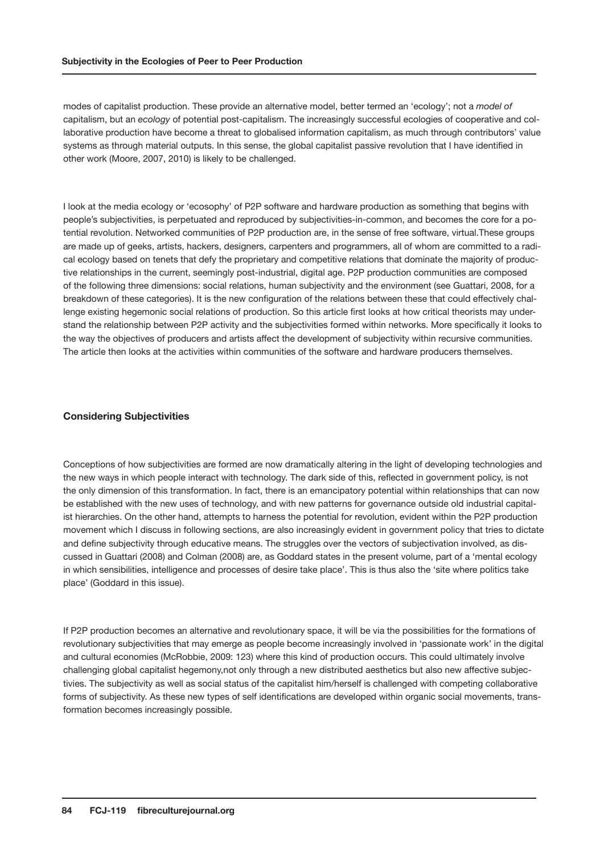modes of capitalist production. These provide an alternative model, better termed an 'ecology'; not a *model of*  capitalism, but an *ecology* of potential post-capitalism. The increasingly successful ecologies of cooperative and collaborative production have become a threat to globalised information capitalism, as much through contributors' value systems as through material outputs. In this sense, the global capitalist passive revolution that I have identified in other work (Moore, 2007, 2010) is likely to be challenged.

I look at the media ecology or 'ecosophy' of P2P software and hardware production as something that begins with people's subjectivities, is perpetuated and reproduced by subjectivities-in-common, and becomes the core for a potential revolution. Networked communities of P2P production are, in the sense of free software, virtual.These groups are made up of geeks, artists, hackers, designers, carpenters and programmers, all of whom are committed to a radical ecology based on tenets that defy the proprietary and competitive relations that dominate the majority of productive relationships in the current, seemingly post-industrial, digital age. P2P production communities are composed of the following three dimensions: social relations, human subjectivity and the environment (see Guattari, 2008, for a breakdown of these categories). It is the new configuration of the relations between these that could effectively challenge existing hegemonic social relations of production. So this article first looks at how critical theorists may understand the relationship between P2P activity and the subjectivities formed within networks. More specifically it looks to the way the objectives of producers and artists affect the development of subjectivity within recursive communities. The article then looks at the activities within communities of the software and hardware producers themselves.

#### **Considering Subjectivities**

Conceptions of how subjectivities are formed are now dramatically altering in the light of developing technologies and the new ways in which people interact with technology. The dark side of this, reflected in government policy, is not the only dimension of this transformation. In fact, there is an emancipatory potential within relationships that can now be established with the new uses of technology, and with new patterns for governance outside old industrial capitalist hierarchies. On the other hand, attempts to harness the potential for revolution, evident within the P2P production movement which I discuss in following sections, are also increasingly evident in government policy that tries to dictate and define subjectivity through educative means. The struggles over the vectors of subjectivation involved, as discussed in Guattari (2008) and Colman (2008) are, as Goddard states in the present volume, part of a 'mental ecology in which sensibilities, intelligence and processes of desire take place'. This is thus also the 'site where politics take place' (Goddard in this issue).

If P2P production becomes an alternative and revolutionary space, it will be via the possibilities for the formations of revolutionary subjectivities that may emerge as people become increasingly involved in 'passionate work' in the digital and cultural economies (McRobbie, 2009: 123) where this kind of production occurs. This could ultimately involve challenging global capitalist hegemony,not only through a new distributed aesthetics but also new affective subjectivies. The subjectivity as well as social status of the capitalist him/herself is challenged with competing collaborative forms of subjectivity. As these new types of self identifications are developed within organic social movements, transformation becomes increasingly possible.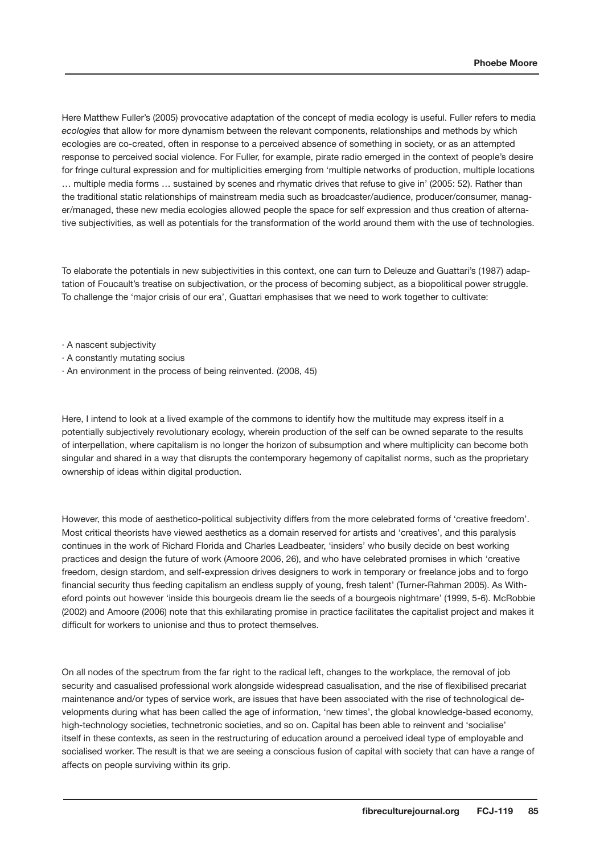Here Matthew Fuller's (2005) provocative adaptation of the concept of media ecology is useful. Fuller refers to media *ecologies* that allow for more dynamism between the relevant components, relationships and methods by which ecologies are co-created, often in response to a perceived absence of something in society, or as an attempted response to perceived social violence. For Fuller, for example, pirate radio emerged in the context of people's desire for fringe cultural expression and for multiplicities emerging from 'multiple networks of production, multiple locations … multiple media forms … sustained by scenes and rhymatic drives that refuse to give in' (2005: 52). Rather than the traditional static relationships of mainstream media such as broadcaster/audience, producer/consumer, manager/managed, these new media ecologies allowed people the space for self expression and thus creation of alternative subjectivities, as well as potentials for the transformation of the world around them with the use of technologies.

To elaborate the potentials in new subjectivities in this context, one can turn to Deleuze and Guattari's (1987) adaptation of Foucault's treatise on subjectivation, or the process of becoming subject, as a biopolitical power struggle. To challenge the 'major crisis of our era', Guattari emphasises that we need to work together to cultivate:

· A nascent subjectivity

- · A constantly mutating socius
- · An environment in the process of being reinvented. (2008, 45)

Here, I intend to look at a lived example of the commons to identify how the multitude may express itself in a potentially subjectively revolutionary ecology, wherein production of the self can be owned separate to the results of interpellation, where capitalism is no longer the horizon of subsumption and where multiplicity can become both singular and shared in a way that disrupts the contemporary hegemony of capitalist norms, such as the proprietary ownership of ideas within digital production.

However, this mode of aesthetico-political subjectivity differs from the more celebrated forms of 'creative freedom'. Most critical theorists have viewed aesthetics as a domain reserved for artists and 'creatives', and this paralysis continues in the work of Richard Florida and Charles Leadbeater, 'insiders' who busily decide on best working practices and design the future of work (Amoore 2006, 26), and who have celebrated promises in which 'creative freedom, design stardom, and self-expression drives designers to work in temporary or freelance jobs and to forgo financial security thus feeding capitalism an endless supply of young, fresh talent' (Turner-Rahman 2005). As Witheford points out however 'inside this bourgeois dream lie the seeds of a bourgeois nightmare' (1999, 5-6). McRobbie (2002) and Amoore (2006) note that this exhilarating promise in practice facilitates the capitalist project and makes it difficult for workers to unionise and thus to protect themselves.

On all nodes of the spectrum from the far right to the radical left, changes to the workplace, the removal of job security and casualised professional work alongside widespread casualisation, and the rise of flexibilised precariat maintenance and/or types of service work, are issues that have been associated with the rise of technological developments during what has been called the age of information, 'new times', the global knowledge-based economy, high-technology societies, technetronic societies, and so on. Capital has been able to reinvent and 'socialise' itself in these contexts, as seen in the restructuring of education around a perceived ideal type of employable and socialised worker. The result is that we are seeing a conscious fusion of capital with society that can have a range of affects on people surviving within its grip.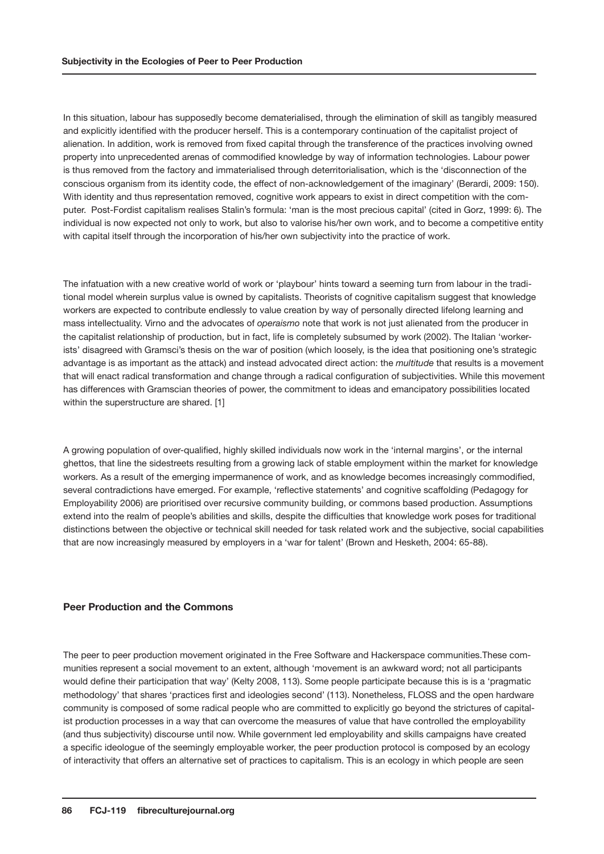In this situation, labour has supposedly become dematerialised, through the elimination of skill as tangibly measured and explicitly identified with the producer herself. This is a contemporary continuation of the capitalist project of alienation. In addition, work is removed from fixed capital through the transference of the practices involving owned property into unprecedented arenas of commodified knowledge by way of information technologies. Labour power is thus removed from the factory and immaterialised through deterritorialisation, which is the 'disconnection of the conscious organism from its identity code, the effect of non-acknowledgement of the imaginary' (Berardi, 2009: 150). With identity and thus representation removed, cognitive work appears to exist in direct competition with the computer. Post-Fordist capitalism realises Stalin's formula: 'man is the most precious capital' (cited in Gorz, 1999: 6). The individual is now expected not only to work, but also to valorise his/her own work, and to become a competitive entity with capital itself through the incorporation of his/her own subjectivity into the practice of work.

The infatuation with a new creative world of work or 'playbour' hints toward a seeming turn from labour in the traditional model wherein surplus value is owned by capitalists. Theorists of cognitive capitalism suggest that knowledge workers are expected to contribute endlessly to value creation by way of personally directed lifelong learning and mass intellectuality. Virno and the advocates of *operaismo* note that work is not just alienated from the producer in the capitalist relationship of production, but in fact, life is completely subsumed by work (2002). The Italian 'workerists' disagreed with Gramsci's thesis on the war of position (which loosely, is the idea that positioning one's strategic advantage is as important as the attack) and instead advocated direct action: the *multitude* that results is a movement that will enact radical transformation and change through a radical configuration of subjectivities. While this movement has differences with Gramscian theories of power, the commitment to ideas and emancipatory possibilities located within the superstructure are shared. [1]

A growing population of over-qualified, highly skilled individuals now work in the 'internal margins', or the internal ghettos, that line the sidestreets resulting from a growing lack of stable employment within the market for knowledge workers. As a result of the emerging impermanence of work, and as knowledge becomes increasingly commodified, several contradictions have emerged. For example, 'reflective statements' and cognitive scaffolding (Pedagogy for Employability 2006) are prioritised over recursive community building, or commons based production. Assumptions extend into the realm of people's abilities and skills, despite the difficulties that knowledge work poses for traditional distinctions between the objective or technical skill needed for task related work and the subjective, social capabilities that are now increasingly measured by employers in a 'war for talent' (Brown and Hesketh, 2004: 65-88).

### **Peer Production and the Commons**

The peer to peer production movement originated in the Free Software and Hackerspace communities.These communities represent a social movement to an extent, although 'movement is an awkward word; not all participants would define their participation that way' (Kelty 2008, 113). Some people participate because this is is a 'pragmatic methodology' that shares 'practices first and ideologies second' (113). Nonetheless, FLOSS and the open hardware community is composed of some radical people who are committed to explicitly go beyond the strictures of capitalist production processes in a way that can overcome the measures of value that have controlled the employability (and thus subjectivity) discourse until now. While government led employability and skills campaigns have created a specific ideologue of the seemingly employable worker, the peer production protocol is composed by an ecology of interactivity that offers an alternative set of practices to capitalism. This is an ecology in which people are seen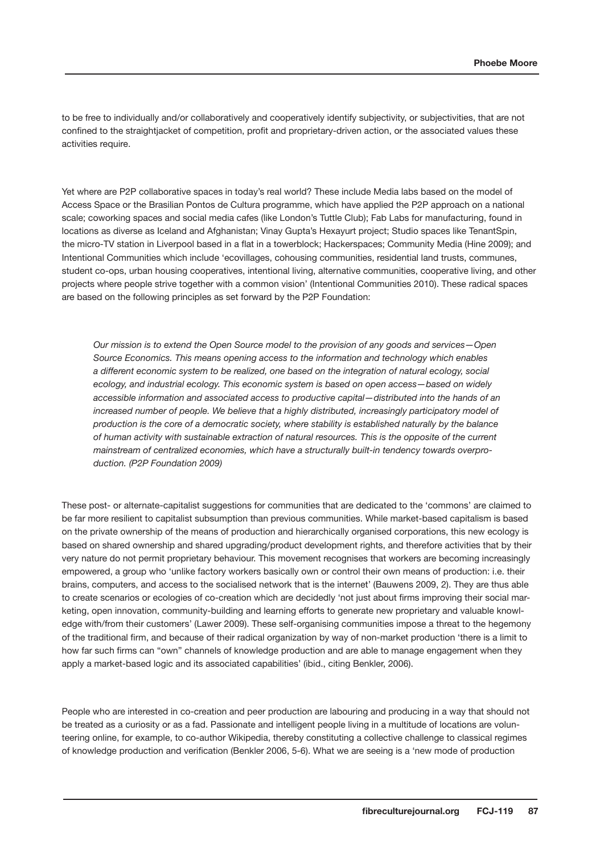to be free to individually and/or collaboratively and cooperatively identify subjectivity, or subjectivities, that are not confined to the straightjacket of competition, profit and proprietary-driven action, or the associated values these activities require.

Yet where are P2P collaborative spaces in today's real world? These include Media labs based on the model of Access Space or the Brasilian Pontos de Cultura programme, which have applied the P2P approach on a national scale; coworking spaces and social media cafes (like London's Tuttle Club); Fab Labs for manufacturing, found in locations as diverse as Iceland and Afghanistan; Vinay Gupta's Hexayurt project; Studio spaces like TenantSpin, the micro-TV station in Liverpool based in a flat in a towerblock; Hackerspaces; Community Media (Hine 2009); and Intentional Communities which include 'ecovillages, cohousing communities, residential land trusts, communes, student co-ops, urban housing cooperatives, intentional living, alternative communities, cooperative living, and other projects where people strive together with a common vision' (Intentional Communities 2010). These radical spaces are based on the following principles as set forward by the P2P Foundation:

*Our mission is to extend the Open Source model to the provision of any goods and services—Open Source Economics. This means opening access to the information and technology which enables a different economic system to be realized, one based on the integration of natural ecology, social ecology, and industrial ecology. This economic system is based on open access—based on widely accessible information and associated access to productive capital—distributed into the hands of an*  increased number of people. We believe that a highly distributed, increasingly participatory model of *production is the core of a democratic society, where stability is established naturally by the balance of human activity with sustainable extraction of natural resources. This is the opposite of the current mainstream of centralized economies, which have a structurally built-in tendency towards overproduction. (P2P Foundation 2009)* 

These post- or alternate-capitalist suggestions for communities that are dedicated to the 'commons' are claimed to be far more resilient to capitalist subsumption than previous communities. While market-based capitalism is based on the private ownership of the means of production and hierarchically organised corporations, this new ecology is based on shared ownership and shared upgrading/product development rights, and therefore activities that by their very nature do not permit proprietary behaviour. This movement recognises that workers are becoming increasingly empowered, a group who 'unlike factory workers basically own or control their own means of production: i.e. their brains, computers, and access to the socialised network that is the internet' (Bauwens 2009, 2). They are thus able to create scenarios or ecologies of co-creation which are decidedly 'not just about firms improving their social marketing, open innovation, community-building and learning efforts to generate new proprietary and valuable knowledge with/from their customers' (Lawer 2009). These self-organising communities impose a threat to the hegemony of the traditional firm, and because of their radical organization by way of non-market production 'there is a limit to how far such firms can "own" channels of knowledge production and are able to manage engagement when they apply a market-based logic and its associated capabilities' (ibid., citing Benkler, 2006).

People who are interested in co-creation and peer production are labouring and producing in a way that should not be treated as a curiosity or as a fad. Passionate and intelligent people living in a multitude of locations are volunteering online, for example, to co-author Wikipedia, thereby constituting a collective challenge to classical regimes of knowledge production and verification (Benkler 2006, 5-6). What we are seeing is a 'new mode of production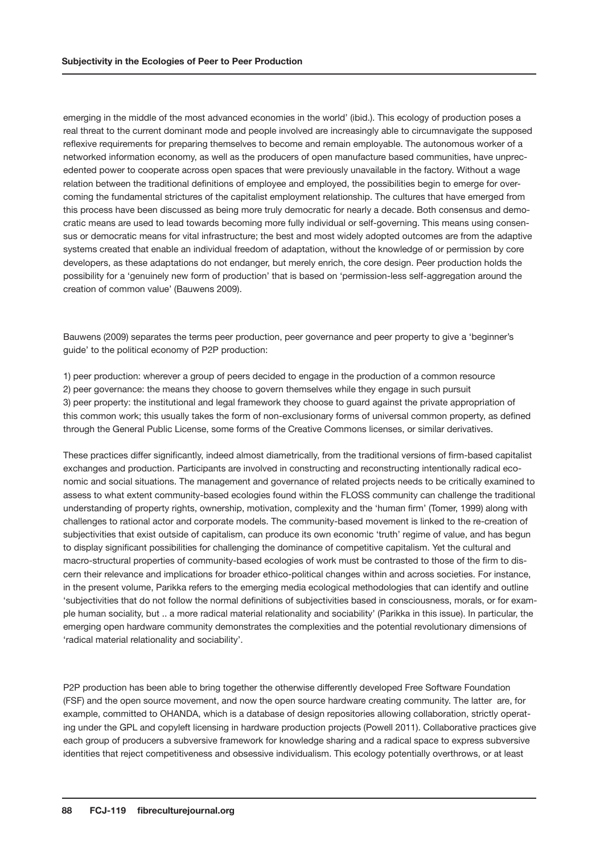emerging in the middle of the most advanced economies in the world' (ibid.). This ecology of production poses a real threat to the current dominant mode and people involved are increasingly able to circumnavigate the supposed reflexive requirements for preparing themselves to become and remain employable. The autonomous worker of a networked information economy, as well as the producers of open manufacture based communities, have unprecedented power to cooperate across open spaces that were previously unavailable in the factory. Without a wage relation between the traditional definitions of employee and employed, the possibilities begin to emerge for overcoming the fundamental strictures of the capitalist employment relationship. The cultures that have emerged from this process have been discussed as being more truly democratic for nearly a decade. Both consensus and democratic means are used to lead towards becoming more fully individual or self-governing. This means using consensus or democratic means for vital infrastructure; the best and most widely adopted outcomes are from the adaptive systems created that enable an individual freedom of adaptation, without the knowledge of or permission by core developers, as these adaptations do not endanger, but merely enrich, the core design. Peer production holds the possibility for a 'genuinely new form of production' that is based on 'permission-less self-aggregation around the creation of common value' (Bauwens 2009).

Bauwens (2009) separates the terms peer production, peer governance and peer property to give a 'beginner's guide' to the political economy of P2P production:

1) peer production: wherever a group of peers decided to engage in the production of a common resource 2) peer governance: the means they choose to govern themselves while they engage in such pursuit 3) peer property: the institutional and legal framework they choose to guard against the private appropriation of this common work; this usually takes the form of non-exclusionary forms of universal common property, as defined through the General Public License, some forms of the Creative Commons licenses, or similar derivatives.

These practices differ significantly, indeed almost diametrically, from the traditional versions of firm-based capitalist exchanges and production. Participants are involved in constructing and reconstructing intentionally radical economic and social situations. The management and governance of related projects needs to be critically examined to assess to what extent community-based ecologies found within the FLOSS community can challenge the traditional understanding of property rights, ownership, motivation, complexity and the 'human firm' (Tomer, 1999) along with challenges to rational actor and corporate models. The community-based movement is linked to the re-creation of subjectivities that exist outside of capitalism, can produce its own economic 'truth' regime of value, and has begun to display significant possibilities for challenging the dominance of competitive capitalism. Yet the cultural and macro-structural properties of community-based ecologies of work must be contrasted to those of the firm to discern their relevance and implications for broader ethico-political changes within and across societies. For instance, in the present volume, Parikka refers to the emerging media ecological methodologies that can identify and outline 'subjectivities that do not follow the normal definitions of subjectivities based in consciousness, morals, or for example human sociality, but .. a more radical material relationality and sociability' (Parikka in this issue). In particular, the emerging open hardware community demonstrates the complexities and the potential revolutionary dimensions of 'radical material relationality and sociability'.

P2P production has been able to bring together the otherwise differently developed Free Software Foundation (FSF) and the open source movement, and now the open source hardware creating community. The latter are, for example, committed to OHANDA, which is a database of design repositories allowing collaboration, strictly operating under the GPL and copyleft licensing in hardware production projects (Powell 2011). Collaborative practices give each group of producers a subversive framework for knowledge sharing and a radical space to express subversive identities that reject competitiveness and obsessive individualism. This ecology potentially overthrows, or at least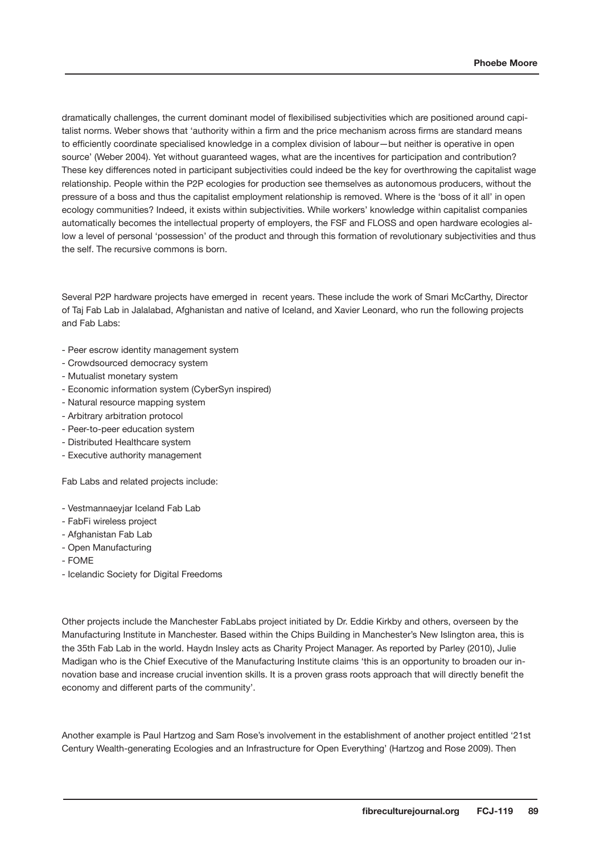dramatically challenges, the current dominant model of flexibilised subjectivities which are positioned around capitalist norms. Weber shows that 'authority within a firm and the price mechanism across firms are standard means to efficiently coordinate specialised knowledge in a complex division of labour—but neither is operative in open source' (Weber 2004). Yet without guaranteed wages, what are the incentives for participation and contribution? These key differences noted in participant subjectivities could indeed be the key for overthrowing the capitalist wage relationship. People within the P2P ecologies for production see themselves as autonomous producers, without the pressure of a boss and thus the capitalist employment relationship is removed. Where is the 'boss of it all' in open ecology communities? Indeed, it exists within subjectivities. While workers' knowledge within capitalist companies automatically becomes the intellectual property of employers, the FSF and FLOSS and open hardware ecologies allow a level of personal 'possession' of the product and through this formation of revolutionary subjectivities and thus the self. The recursive commons is born.

Several P2P hardware projects have emerged in recent years. These include the work of Smari McCarthy, Director of Taj Fab Lab in Jalalabad, Afghanistan and native of Iceland, and Xavier Leonard, who run the following projects and Fab Labs:

- Peer escrow identity management system
- Crowdsourced democracy system
- Mutualist monetary system
- Economic information system (CyberSyn inspired)
- Natural resource mapping system
- Arbitrary arbitration protocol
- Peer-to-peer education system
- Distributed Healthcare system
- Executive authority management

Fab Labs and related projects include:

- Vestmannaeyjar Iceland Fab Lab
- FabFi wireless project
- Afghanistan Fab Lab
- Open Manufacturing
- FOME
- Icelandic Society for Digital Freedoms

Other projects include the Manchester FabLabs project initiated by Dr. Eddie Kirkby and others, overseen by the Manufacturing Institute in Manchester. Based within the Chips Building in Manchester's New Islington area, this is the 35th Fab Lab in the world. Haydn Insley acts as Charity Project Manager. As reported by Parley (2010), Julie Madigan who is the Chief Executive of the Manufacturing Institute claims 'this is an opportunity to broaden our innovation base and increase crucial invention skills. It is a proven grass roots approach that will directly benefit the economy and different parts of the community'.

Another example is Paul Hartzog and Sam Rose's involvement in the establishment of another project entitled '21st Century Wealth-generating Ecologies and an Infrastructure for Open Everything' (Hartzog and Rose 2009). Then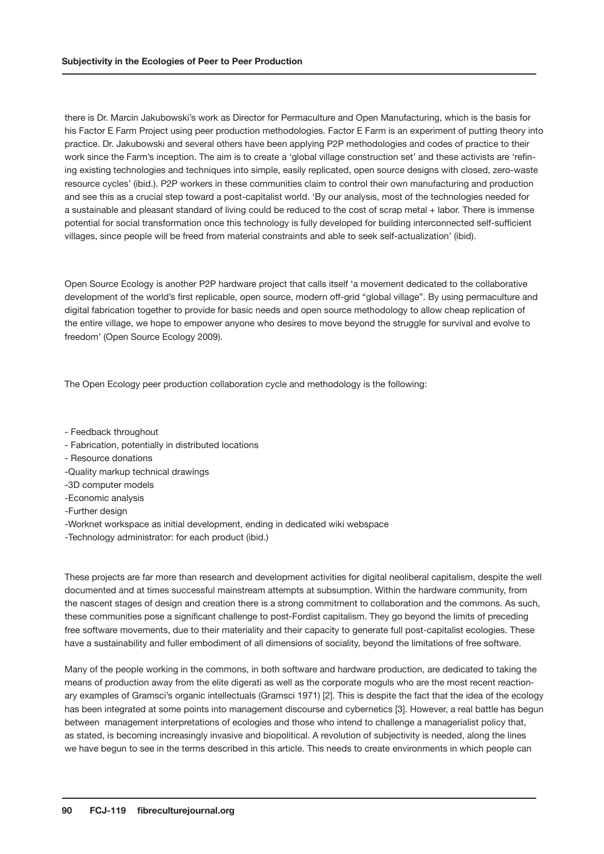there is Dr. Marcin Jakubowski's work as Director for Permaculture and Open Manufacturing, which is the basis for his Factor E Farm Project using peer production methodologies. Factor E Farm is an experiment of putting theory into practice. Dr. Jakubowski and several others have been applying P2P methodologies and codes of practice to their work since the Farm's inception. The aim is to create a 'global village construction set' and these activists are 'refining existing technologies and techniques into simple, easily replicated, open source designs with closed, zero-waste resource cycles' (ibid.). P2P workers in these communities claim to control their own manufacturing and production and see this as a crucial step toward a post-capitalist world. 'By our analysis, most of the technologies needed for a sustainable and pleasant standard of living could be reduced to the cost of scrap metal + labor. There is immense potential for social transformation once this technology is fully developed for building interconnected self-sufficient villages, since people will be freed from material constraints and able to seek self-actualization' (ibid).

Open Source Ecology is another P2P hardware project that calls itself 'a movement dedicated to the collaborative development of the world's first replicable, open source, modern off-grid "global village". By using permaculture and digital fabrication together to provide for basic needs and open source methodology to allow cheap replication of the entire village, we hope to empower anyone who desires to move beyond the struggle for survival and evolve to freedom' (Open Source Ecology 2009).

The Open Ecology peer production collaboration cycle and methodology is the following:

- Feedback throughout
- Fabrication, potentially in distributed locations
- Resource donations
- -Quality markup technical drawings
- -3D computer models
- -Economic analysis
- -Further design
- -Worknet workspace as initial development, ending in dedicated wiki webspace
- -Technology administrator: for each product (ibid.)

These projects are far more than research and development activities for digital neoliberal capitalism, despite the well documented and at times successful mainstream attempts at subsumption. Within the hardware community, from the nascent stages of design and creation there is a strong commitment to collaboration and the commons. As such, these communities pose a significant challenge to post-Fordist capitalism. They go beyond the limits of preceding free software movements, due to their materiality and their capacity to generate full post-capitalist ecologies. These have a sustainability and fuller embodiment of all dimensions of sociality, beyond the limitations of free software.

Many of the people working in the commons, in both software and hardware production, are dedicated to taking the means of production away from the elite digerati as well as the corporate moguls who are the most recent reactionary examples of Gramsci's organic intellectuals (Gramsci 1971) [2]. This is despite the fact that the idea of the ecology has been integrated at some points into management discourse and cybernetics [3]. However, a real battle has begun between management interpretations of ecologies and those who intend to challenge a managerialist policy that, as stated, is becoming increasingly invasive and biopolitical. A revolution of subjectivity is needed, along the lines we have begun to see in the terms described in this article. This needs to create environments in which people can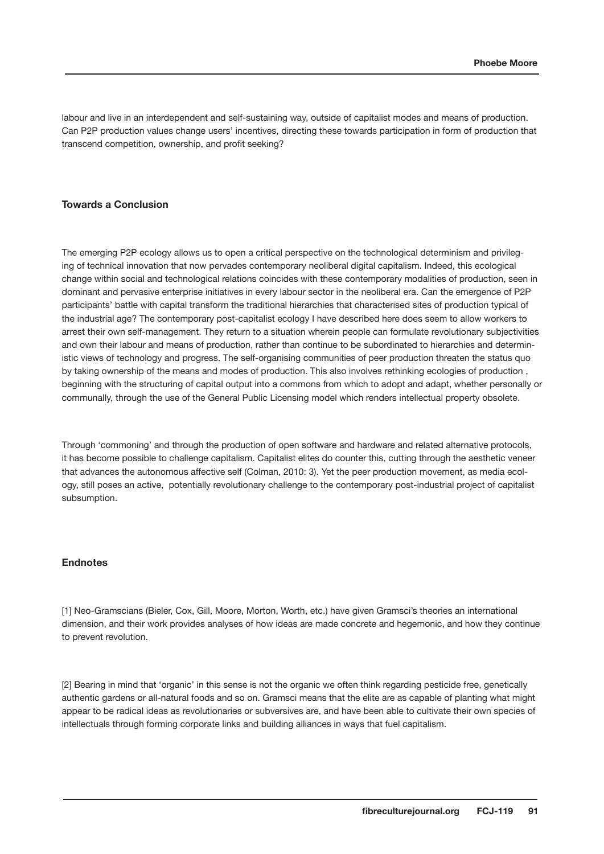labour and live in an interdependent and self-sustaining way, outside of capitalist modes and means of production. Can P2P production values change users' incentives, directing these towards participation in form of production that transcend competition, ownership, and profit seeking?

#### **Towards a Conclusion**

The emerging P2P ecology allows us to open a critical perspective on the technological determinism and privileging of technical innovation that now pervades contemporary neoliberal digital capitalism. Indeed, this ecological change within social and technological relations coincides with these contemporary modalities of production, seen in dominant and pervasive enterprise initiatives in every labour sector in the neoliberal era. Can the emergence of P2P participants' battle with capital transform the traditional hierarchies that characterised sites of production typical of the industrial age? The contemporary post-capitalist ecology I have described here does seem to allow workers to arrest their own self-management. They return to a situation wherein people can formulate revolutionary subjectivities and own their labour and means of production, rather than continue to be subordinated to hierarchies and deterministic views of technology and progress. The self-organising communities of peer production threaten the status quo by taking ownership of the means and modes of production. This also involves rethinking ecologies of production , beginning with the structuring of capital output into a commons from which to adopt and adapt, whether personally or communally, through the use of the General Public Licensing model which renders intellectual property obsolete.

Through 'commoning' and through the production of open software and hardware and related alternative protocols, it has become possible to challenge capitalism. Capitalist elites do counter this, cutting through the aesthetic veneer that advances the autonomous affective self (Colman, 2010: 3). Yet the peer production movement, as media ecology, still poses an active, potentially revolutionary challenge to the contemporary post-industrial project of capitalist subsumption.

#### **Endnotes**

[1] Neo-Gramscians (Bieler, Cox, Gill, Moore, Morton, Worth, etc.) have given Gramsci's theories an international dimension, and their work provides analyses of how ideas are made concrete and hegemonic, and how they continue to prevent revolution.

[2] Bearing in mind that 'organic' in this sense is not the organic we often think regarding pesticide free, genetically authentic gardens or all-natural foods and so on. Gramsci means that the elite are as capable of planting what might appear to be radical ideas as revolutionaries or subversives are, and have been able to cultivate their own species of intellectuals through forming corporate links and building alliances in ways that fuel capitalism.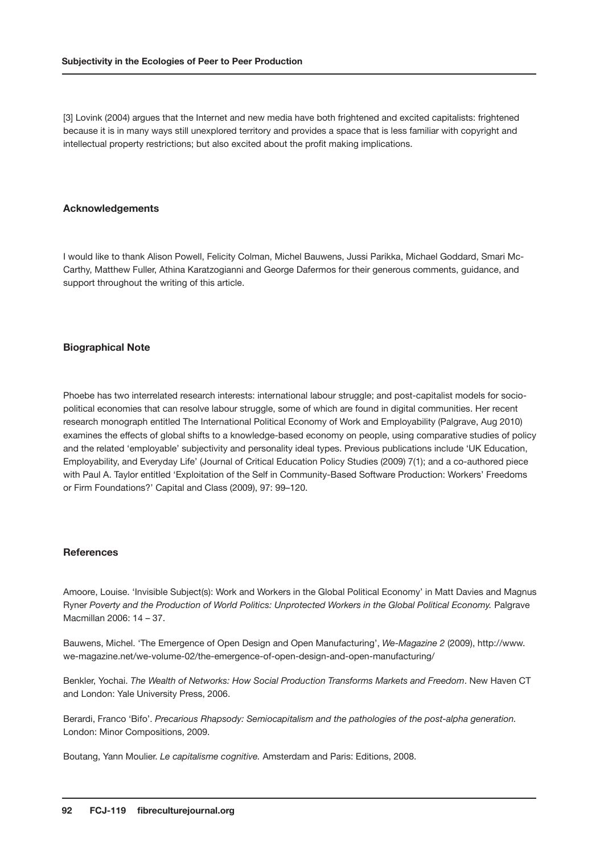[3] Lovink (2004) argues that the Internet and new media have both frightened and excited capitalists: frightened because it is in many ways still unexplored territory and provides a space that is less familiar with copyright and intellectual property restrictions; but also excited about the profit making implications.

#### **Acknowledgements**

I would like to thank Alison Powell, Felicity Colman, Michel Bauwens, Jussi Parikka, Michael Goddard, Smari Mc-Carthy, Matthew Fuller, Athina Karatzogianni and George Dafermos for their generous comments, guidance, and support throughout the writing of this article.

#### **Biographical Note**

Phoebe has two interrelated research interests: international labour struggle; and post-capitalist models for sociopolitical economies that can resolve labour struggle, some of which are found in digital communities. Her recent research monograph entitled The International Political Economy of Work and Employability (Palgrave, Aug 2010) examines the effects of global shifts to a knowledge-based economy on people, using comparative studies of policy and the related 'employable' subjectivity and personality ideal types. Previous publications include 'UK Education, Employability, and Everyday Life' (Journal of Critical Education Policy Studies (2009) 7(1); and a co-authored piece with Paul A. Taylor entitled 'Exploitation of the Self in Community-Based Software Production: Workers' Freedoms or Firm Foundations?' Capital and Class (2009), 97: 99–120.

#### **References**

Amoore, Louise. 'Invisible Subject(s): Work and Workers in the Global Political Economy' in Matt Davies and Magnus Ryner *Poverty and the Production of World Politics: Unprotected Workers in the Global Political Economy.* Palgrave Macmillan 2006: 14 – 37.

Bauwens, Michel. 'The Emergence of Open Design and Open Manufacturing', *We-Magazine 2* (2009), http://www. we-magazine.net/we-volume-02/the-emergence-of-open-design-and-open-manufacturing/

Benkler, Yochai. *The Wealth of Networks: How Social Production Transforms Markets and Freedom*. New Haven CT and London: Yale University Press, 2006.

Berardi, Franco 'Bifo'. *Precarious Rhapsody: Semiocapitalism and the pathologies of the post-alpha generation.* London: Minor Compositions, 2009.

Boutang, Yann Moulier. *Le capitalisme cognitive.* Amsterdam and Paris: Editions, 2008.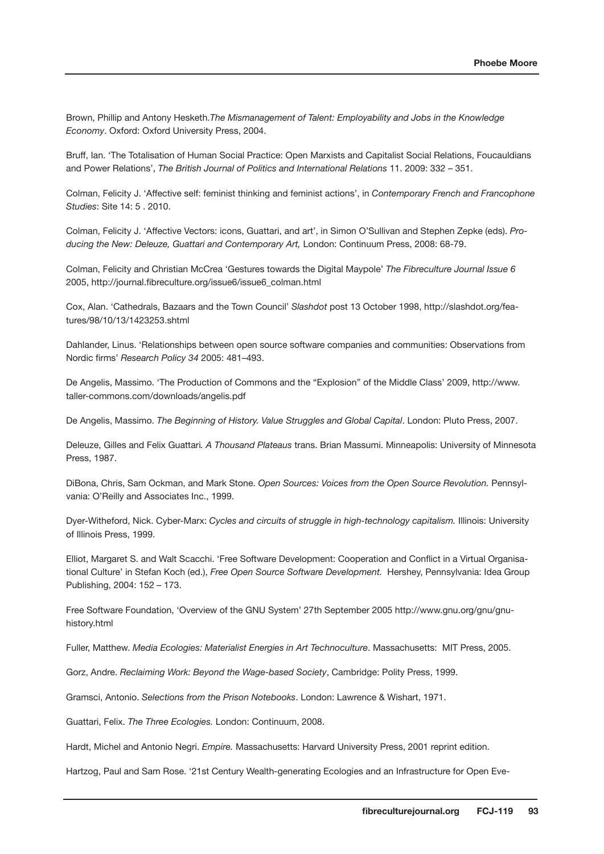Brown, Phillip and Antony Hesketh.*The Mismanagement of Talent: Employability and Jobs in the Knowledge Economy*. Oxford: Oxford University Press, 2004.

Bruff, Ian. 'The Totalisation of Human Social Practice: Open Marxists and Capitalist Social Relations, Foucauldians and Power Relations', *The British Journal of Politics and International Relations* 11. 2009: 332 – 351.

Colman, Felicity J. 'Affective self: feminist thinking and feminist actions', in *Contemporary French and Francophone Studies*: Site 14: 5 . 2010.

Colman, Felicity J. 'Affective Vectors: icons, Guattari, and art', in Simon O'Sullivan and Stephen Zepke (eds). *Producing the New: Deleuze, Guattari and Contemporary Art,* London: Continuum Press, 2008: 68-79.

Colman, Felicity and Christian McCrea 'Gestures towards the Digital Maypole' *The Fibreculture Journal Issue 6* 2005, http://journal.fibreculture.org/issue6/issue6\_colman.html

Cox, Alan. 'Cathedrals, Bazaars and the Town Council' *Slashdot* post 13 October 1998, http://slashdot.org/features/98/10/13/1423253.shtml

Dahlander, Linus. 'Relationships between open source software companies and communities: Observations from Nordic firms' *Research Policy 34* 2005: 481–493.

De Angelis, Massimo. 'The Production of Commons and the "Explosion" of the Middle Class' 2009, http://www. taller-commons.com/downloads/angelis.pdf

De Angelis, Massimo. *The Beginning of History. Value Struggles and Global Capital*. London: Pluto Press, 2007.

Deleuze, Gilles and Felix Guattari*. A Thousand Plateaus* trans. Brian Massumi. Minneapolis: University of Minnesota Press, 1987.

DiBona, Chris, Sam Ockman, and Mark Stone. *Open Sources: Voices from the Open Source Revolution.* Pennsylvania: O'Reilly and Associates Inc., 1999.

Dyer-Witheford, Nick. Cyber-Marx: *Cycles and circuits of struggle in high-technology capitalism.* Illinois: University of Illinois Press, 1999.

Elliot, Margaret S. and Walt Scacchi. 'Free Software Development: Cooperation and Conflict in a Virtual Organisational Culture' in Stefan Koch (ed.), *Free Open Source Software Development.* Hershey, Pennsylvania: Idea Group Publishing, 2004: 152 – 173.

Free Software Foundation, 'Overview of the GNU System' 27th September 2005 http://www.gnu.org/gnu/gnuhistory.html

Fuller, Matthew. *Media Ecologies: Materialist Energies in Art Technoculture*. Massachusetts: MIT Press, 2005.

Gorz, Andre. *Reclaiming Work: Beyond the Wage-based Society*, Cambridge: Polity Press, 1999.

Gramsci, Antonio. *Selections from the Prison Notebooks*. London: Lawrence & Wishart, 1971.

Guattari, Felix. *The Three Ecologies.* London: Continuum, 2008.

Hardt, Michel and Antonio Negri. *Empire.* Massachusetts: Harvard University Press, 2001 reprint edition.

Hartzog, Paul and Sam Rose. '21st Century Wealth-generating Ecologies and an Infrastructure for Open Eve-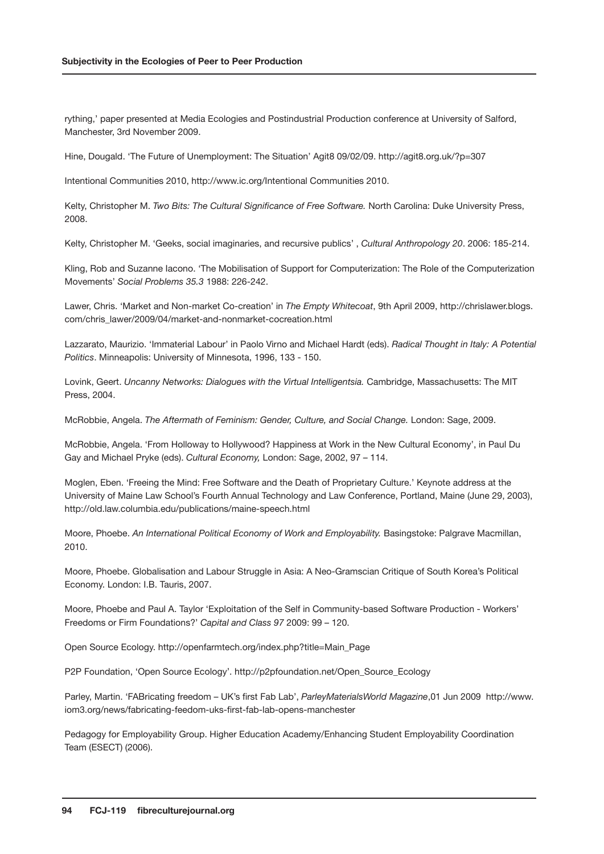rything,' paper presented at Media Ecologies and Postindustrial Production conference at University of Salford, Manchester, 3rd November 2009.

Hine, Dougald. 'The Future of Unemployment: The Situation' Agit8 09/02/09. http://agit8.org.uk/?p=307

Intentional Communities 2010, http://www.ic.org/Intentional Communities 2010.

Kelty, Christopher M. *Two Bits: The Cultural Significance of Free Software.* North Carolina: Duke University Press, 2008.

Kelty, Christopher M. 'Geeks, social imaginaries, and recursive publics' , *Cultural Anthropology 20*. 2006: 185-214.

Kling, Rob and Suzanne Iacono. 'The Mobilisation of Support for Computerization: The Role of the Computerization Movements' *Social Problems 35.3* 1988: 226-242.

Lawer, Chris. 'Market and Non-market Co-creation' in *The Empty Whitecoat*, 9th April 2009, http://chrislawer.blogs. com/chris\_lawer/2009/04/market-and-nonmarket-cocreation.html

Lazzarato, Maurizio. 'Immaterial Labour' in Paolo Virno and Michael Hardt (eds). *Radical Thought in Italy: A Potential Politics*. Minneapolis: University of Minnesota, 1996, 133 - 150.

Lovink, Geert. *Uncanny Networks: Dialogues with the Virtual Intelligentsia.* Cambridge, Massachusetts: The MIT Press, 2004.

McRobbie, Angela. *The Aftermath of Feminism: Gender, Culture, and Social Change.* London: Sage, 2009.

McRobbie, Angela. 'From Holloway to Hollywood? Happiness at Work in the New Cultural Economy', in Paul Du Gay and Michael Pryke (eds). *Cultural Economy,* London: Sage, 2002, 97 – 114.

Moglen, Eben. 'Freeing the Mind: Free Software and the Death of Proprietary Culture.' Keynote address at the University of Maine Law School's Fourth Annual Technology and Law Conference, Portland, Maine (June 29, 2003), http://old.law.columbia.edu/publications/maine-speech.html

Moore, Phoebe. *An International Political Economy of Work and Employability.* Basingstoke: Palgrave Macmillan, 2010.

Moore, Phoebe. Globalisation and Labour Struggle in Asia: A Neo-Gramscian Critique of South Korea's Political Economy. London: I.B. Tauris, 2007.

Moore, Phoebe and Paul A. Taylor 'Exploitation of the Self in Community-based Software Production - Workers' Freedoms or Firm Foundations?' *Capital and Class 97* 2009: 99 – 120.

Open Source Ecology. http://openfarmtech.org/index.php?title=Main\_Page

P2P Foundation, 'Open Source Ecology'. http://p2pfoundation.net/Open\_Source\_Ecology

Parley, Martin. 'FABricating freedom – UK's first Fab Lab', *ParleyMaterialsWorld Magazine*,01 Jun 2009 http://www. iom3.org/news/fabricating-feedom-uks-first-fab-lab-opens-manchester

Pedagogy for Employability Group. Higher Education Academy/Enhancing Student Employability Coordination Team (ESECT) (2006).